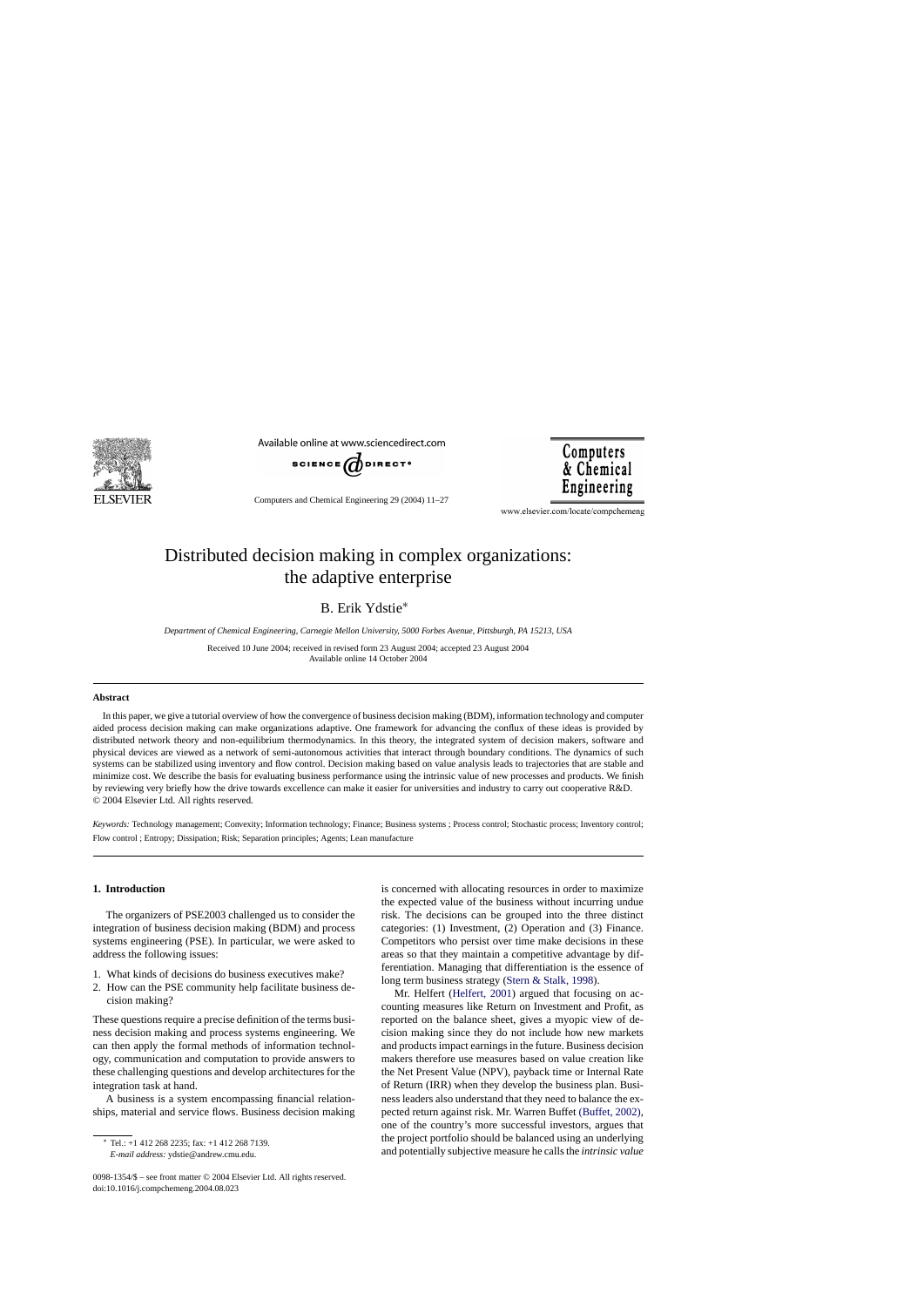

Available online at www.sciencedirect.com



**Computers** & Chemical Engineering

Computers and Chemical Engineering 29 (2004) 11–27

www.elsevier.com/locate/compchemeng

## Distributed decision making in complex organizations: the adaptive enterprise

B. Erik Ydstie<sup>∗</sup>

*Department of Chemical Engineering, Carnegie Mellon University, 5000 Forbes Avenue, Pittsburgh, PA 15213, USA*

Received 10 June 2004; received in revised form 23 August 2004; accepted 23 August 2004 Available online 14 October 2004

## **Abstract**

In this paper, we give a tutorial overview of how the convergence of business decision making (BDM), information technology and computer aided process decision making can make organizations adaptive. One framework for advancing the conflux of these ideas is provided by distributed network theory and non-equilibrium thermodynamics. In this theory, the integrated system of decision makers, software and physical devices are viewed as a network of semi-autonomous activities that interact through boundary conditions. The dynamics of such systems can be stabilized using inventory and flow control. Decision making based on value analysis leads to trajectories that are stable and minimize cost. We describe the basis for evaluating business performance using the intrinsic value of new processes and products. We finish by reviewing very briefly how the drive towards excellence can make it easier for universities and industry to carry out cooperative R&D. © 2004 Elsevier Ltd. All rights reserved.

*Keywords:* Technology management; Convexity; Information technology; Finance; Business systems ; Process control; Stochastic process; Inventory control; Flow control ; Entropy; Dissipation; Risk; Separation principles; Agents; Lean manufacture

## **1. Introduction**

The organizers of PSE2003 challenged us to consider the integration of business decision making (BDM) and process systems engineering (PSE). In particular, we were asked to address the following issues:

- 1. What kinds of decisions do business executives make?
- 2. How can the PSE community help facilitate business decision making?

These questions require a precise definition of the terms business decision making and process systems engineering. We can then apply the formal methods of information technology, communication and computation to provide answers to these challenging questions and develop architectures for the integration task at hand.

A business is a system encompassing financial relationships, material and service flows. Business decision making

<sup>∗</sup> Tel.: +1 412 268 2235; fax: +1 412 268 7139. *E-mail address:* ydstie@andrew.cmu.edu.

is concerned with allocating resources in order to maximize the expected value of the business without incurring undue risk. The decisions can be grouped into the three distinct categories: (1) Investment, (2) Operation and (3) Finance. Competitors who persist over time make decisions in these areas so that they maintain a competitive advantage by differentiation. Managing that differentiation is the essence of long term business strategy ([Stern & Stalk, 1998\).](#page--1-0)

Mr. Helfert ([Helfert, 2001\)](#page--1-0) argued that focusing on accounting measures like Return on Investment and Profit, as reported on the balance sheet, gives a myopic view of decision making since they do not include how new markets and products impact earnings in the future. Business decision makers therefore use measures based on value creation like the Net Present Value (NPV), payback time or Internal Rate of Return (IRR) when they develop the business plan. Business leaders also understand that they need to balance the expected return against risk. Mr. Warren Buffet [\(Buffet, 2002\),](#page--1-0) one of the country's more successful investors, argues that the project portfolio should be balanced using an underlying and potentially subjective measure he calls the *intrinsic value*

<sup>0098-1354/\$ –</sup> see front matter © 2004 Elsevier Ltd. All rights reserved. doi:10.1016/j.compchemeng.2004.08.023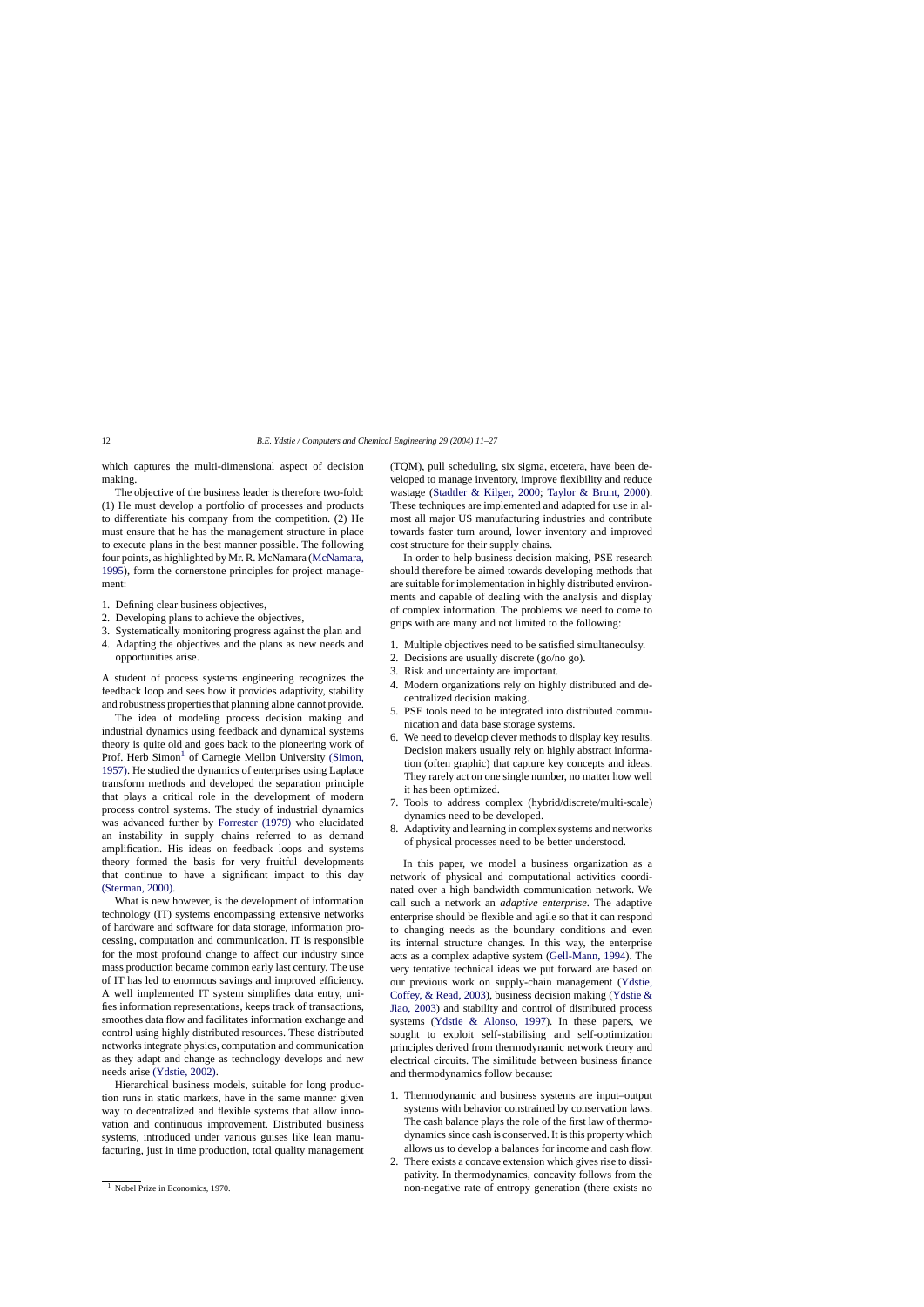which captures the multi-dimensional aspect of decision making.

The objective of the business leader is therefore two-fold: (1) He must develop a portfolio of processes and products to differentiate his company from the competition. (2) He must ensure that he has the management structure in place to execute plans in the best manner possible. The following four points, as highlighted by Mr. R. McNamara ([McNamara,](#page--1-0) [1995\),](#page--1-0) form the cornerstone principles for project management:

- 1. Defining clear business objectives,
- 2. Developing plans to achieve the objectives,
- 3. Systematically monitoring progress against the plan and
- 4. Adapting the objectives and the plans as new needs and opportunities arise.

A student of process systems engineering recognizes the feedback loop and sees how it provides adaptivity, stability and robustness properties that planning alone cannot provide.

The idea of modeling process decision making and industrial dynamics using feedback and dynamical systems theory is quite old and goes back to the pioneering work of Prof. Herb Simon<sup>1</sup> of Carnegie Mellon University [\(Simon,](#page--1-0) [1957\). H](#page--1-0)e studied the dynamics of enterprises using Laplace transform methods and developed the separation principle that plays a critical role in the development of modern process control systems. The study of industrial dynamics was advanced further by [Forrester \(1979\)](#page--1-0) who elucidated an instability in supply chains referred to as demand amplification. His ideas on feedback loops and systems theory formed the basis for very fruitful developments that continue to have a significant impact to this day [\(Sterman, 2000\).](#page--1-0)

What is new however, is the development of information technology (IT) systems encompassing extensive networks of hardware and software for data storage, information processing, computation and communication. IT is responsible for the most profound change to affect our industry since mass production became common early last century. The use of IT has led to enormous savings and improved efficiency. A well implemented IT system simplifies data entry, unifies information representations, keeps track of transactions, smoothes data flow and facilitates information exchange and control using highly distributed resources. These distributed networks integrate physics, computation and communication as they adapt and change as technology develops and new needs arise [\(Ydstie, 2002\).](#page--1-0)

Hierarchical business models, suitable for long production runs in static markets, have in the same manner given way to decentralized and flexible systems that allow innovation and continuous improvement. Distributed business systems, introduced under various guises like lean manufacturing, just in time production, total quality management (TQM), pull scheduling, six sigma, etcetera, have been developed to manage inventory, improve flexibility and reduce wastage ([Stadtler & Kilger, 2000;](#page--1-0) [Taylor & Brunt, 2000\)](#page--1-0). These techniques are implemented and adapted for use in almost all major US manufacturing industries and contribute towards faster turn around, lower inventory and improved cost structure for their supply chains.

In order to help business decision making, PSE research should therefore be aimed towards developing methods that are suitable for implementation in highly distributed environments and capable of dealing with the analysis and display of complex information. The problems we need to come to grips with are many and not limited to the following:

- 1. Multiple objectives need to be satisfied simultaneoulsy.
- 2. Decisions are usually discrete (go/no go).
- 3. Risk and uncertainty are important.
- 4. Modern organizations rely on highly distributed and decentralized decision making.
- 5. PSE tools need to be integrated into distributed communication and data base storage systems.
- 6. We need to develop clever methods to display key results. Decision makers usually rely on highly abstract information (often graphic) that capture key concepts and ideas. They rarely act on one single number, no matter how well it has been optimized.
- 7. Tools to address complex (hybrid/discrete/multi-scale) dynamics need to be developed.
- 8. Adaptivity and learning in complex systems and networks of physical processes need to be better understood.

In this paper, we model a business organization as a network of physical and computational activities coordinated over a high bandwidth communication network. We call such a network an *adaptive enterprise*. The adaptive enterprise should be flexible and agile so that it can respond to changing needs as the boundary conditions and even its internal structure changes. In this way, the enterprise acts as a complex adaptive system [\(Gell-Mann, 1994\).](#page--1-0) The very tentative technical ideas we put forward are based on our previous work on supply-chain management [\(Ydstie,](#page--1-0) Coffey, & Read, 2003), business decision making ([Ydstie &](#page--1-0) Jiao, 2003) and stability and control of distributed process systems [\(Ydstie & Alonso, 1997](#page--1-0)). In these papers, we sought to exploit self-stabilising and self-optimization principles derived from thermodynamic network theory and electrical circuits. The similitude between business finance and thermodynamics follow because:

- 1. Thermodynamic and business systems are input–output systems with behavior constrained by conservation laws. The cash balance plays the role of the first law of thermodynamics since cash is conserved. It is this property which allows us to develop a balances for income and cash flow.
- 2. There exists a concave extension which gives rise to dissipativity. In thermodynamics, concavity follows from the non-negative rate of entropy generation (there exists no

<sup>&</sup>lt;sup>1</sup> Nobel Prize in Economics, 1970.